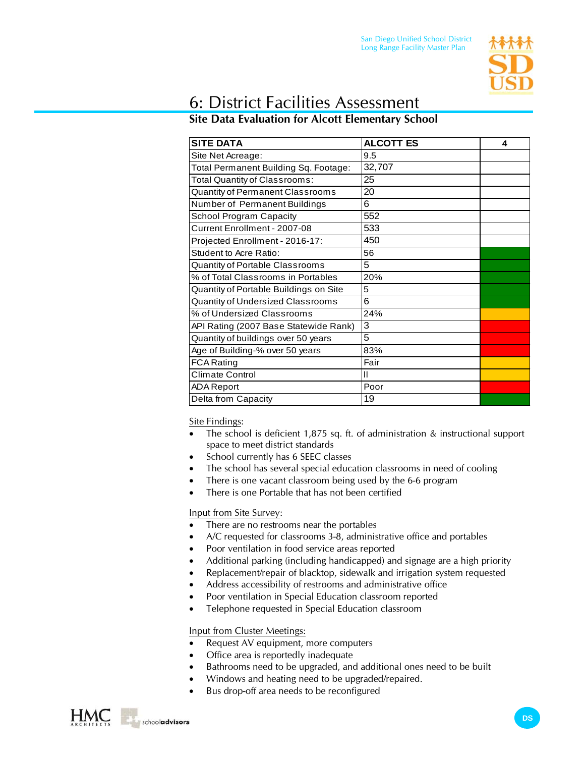

## 6: District Facilities Assessment

## **Site Data Evaluation for Alcott Elementary School**

| <b>SITE DATA</b>                       | <b>ALCOTT ES</b> | 4 |
|----------------------------------------|------------------|---|
| Site Net Acreage:                      | 9.5              |   |
| Total Permanent Building Sq. Footage:  | 32,707           |   |
| Total Quantity of Classrooms:          | 25               |   |
| Quantity of Permanent Classrooms       | 20               |   |
| Number of Permanent Buildings          | 6                |   |
| <b>School Program Capacity</b>         | 552              |   |
| Current Enrollment - 2007-08           | 533              |   |
| Projected Enrollment - 2016-17:        | 450              |   |
| <b>Student to Acre Ratio:</b>          | 56               |   |
| Quantity of Portable Classrooms        | 5                |   |
| % of Total Classrooms in Portables     | 20%              |   |
| Quantity of Portable Buildings on Site | 5                |   |
| Quantity of Undersized Classrooms      | 6                |   |
| % of Undersized Classrooms             | 24%              |   |
| API Rating (2007 Base Statewide Rank)  | 3                |   |
| Quantity of buildings over 50 years    | 5                |   |
| Age of Building-% over 50 years        | 83%              |   |
| <b>FCA Rating</b>                      | Fair             |   |
| <b>Climate Control</b>                 | Ш                |   |
| <b>ADA Report</b>                      | Poor             |   |
| Delta from Capacity                    | 19               |   |

Site Findings:

- The school is deficient 1,875 sq. ft. of administration & instructional support space to meet district standards
- School currently has 6 SEEC classes
- The school has several special education classrooms in need of cooling
- There is one vacant classroom being used by the 6-6 program
- There is one Portable that has not been certified

Input from Site Survey:

- There are no restrooms near the portables
- A/C requested for classrooms 3-8, administrative office and portables
- Poor ventilation in food service areas reported
- Additional parking (including handicapped) and signage are a high priority
- Replacement/repair of blacktop, sidewalk and irrigation system requested
- Address accessibility of restrooms and administrative office
- Poor ventilation in Special Education classroom reported
- Telephone requested in Special Education classroom

Input from Cluster Meetings:

- Request AV equipment, more computers
- Office area is reportedly inadequate
- Bathrooms need to be upgraded, and additional ones need to be built
- Windows and heating need to be upgraded/repaired.
- Bus drop-off area needs to be reconfigured